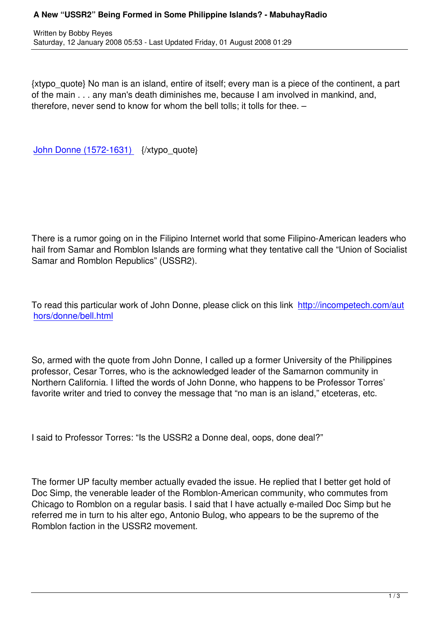{xtypo\_quote} No man is an island, entire of itself; every man is a piece of the continent, a part of the main . . . any man's death diminishes me, because I am involved in mankind, and, therefore, never send to know for whom the bell tolls; it tolls for thee. –

John Donne (1572-1631) {/xtypo\_quote}

There is a rumor going on in the Filipino Internet world that some Filipino-American leaders who hail from Samar and Romblon Islands are forming what they tentative call the "Union of Socialist Samar and Romblon Republics" (USSR2).

To read this particular work of John Donne, please click on this link http://incompetech.com/aut hors/donne/bell.html

[So, armed with the qu](http://incompetech.com/authors/donne/bell.html)ote from John Donne, I called up a former University of the Philippines professor, Cesar Torres, who is the acknowledged leader of the Samarnon community in Northern California. I lifted the words of John Donne, who happens to be Professor Torres' favorite writer and tried to convey the message that "no man is an island," etceteras, etc.

I said to Professor Torres: "Is the USSR2 a Donne deal, oops, done deal?"

The former UP faculty member actually evaded the issue. He replied that I better get hold of Doc Simp, the venerable leader of the Romblon-American community, who commutes from Chicago to Romblon on a regular basis. I said that I have actually e-mailed Doc Simp but he referred me in turn to his alter ego, Antonio Bulog, who appears to be the supremo of the Romblon faction in the USSR2 movement.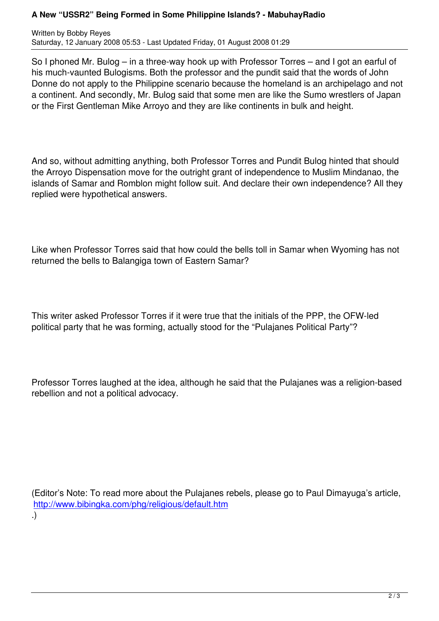So I phoned Mr. Bulog – in a three-way hook up with Professor Torres – and I got an earful of his much-vaunted Bulogisms. Both the professor and the pundit said that the words of John Donne do not apply to the Philippine scenario because the homeland is an archipelago and not a continent. And secondly, Mr. Bulog said that some men are like the Sumo wrestlers of Japan or the First Gentleman Mike Arroyo and they are like continents in bulk and height.

And so, without admitting anything, both Professor Torres and Pundit Bulog hinted that should the Arroyo Dispensation move for the outright grant of independence to Muslim Mindanao, the islands of Samar and Romblon might follow suit. And declare their own independence? All they replied were hypothetical answers.

Like when Professor Torres said that how could the bells toll in Samar when Wyoming has not returned the bells to Balangiga town of Eastern Samar?

This writer asked Professor Torres if it were true that the initials of the PPP, the OFW-led political party that he was forming, actually stood for the "Pulajanes Political Party"?

Professor Torres laughed at the idea, although he said that the Pulajanes was a religion-based rebellion and not a political advocacy.

(Editor's Note: To read more about the Pulajanes rebels, please go to Paul Dimayuga's article, http://www.bibingka.com/phg/religious/default.htm .)